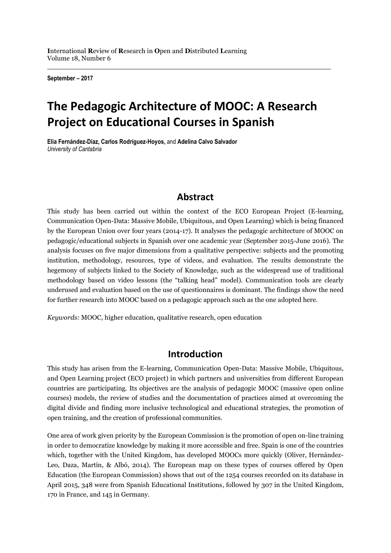**September – 2017**

# **The Pedagogic Architecture of MOOC: A Research Project on Educational Courses in Spanish**

**Elia Fernández-Díaz, Carlos Rodríguez-Hoyos,** and **Adelina Calvo Salvador** *University of Cantabria*

### **Abstract**

This study has been carried out within the context of the ECO European Project (E-learning, Communication Open-Data: Massive Mobile, Ubiquitous, and Open Learning) which is being financed by the European Union over four years (2014-17). It analyses the pedagogic architecture of MOOC on pedagogic/educational subjects in Spanish over one academic year (September 2015-June 2016). The analysis focuses on five major dimensions from a qualitative perspective: subjects and the promoting institution, methodology, resources, type of videos, and evaluation. The results demonstrate the hegemony of subjects linked to the Society of Knowledge, such as the widespread use of traditional methodology based on video lessons (the "talking head" model). Communication tools are clearly underused and evaluation based on the use of questionnaires is dominant. The findings show the need for further research into MOOC based on a pedagogic approach such as the one adopted here.

*Keywords:* MOOC, higher education, qualitative research, open education

### **Introduction**

This study has arisen from the E-learning, Communication Open-Data: Massive Mobile, Ubiquitous, and Open Learning project (ECO project) in which partners and universities from different European countries are participating. Its objectives are the analysis of pedagogic MOOC (massive open online courses) models, the review of studies and the documentation of practices aimed at overcoming the digital divide and finding more inclusive technological and educational strategies, the promotion of open training, and the creation of professional communities.

One area of work given priority by the European Commission is the promotion of open on-line training in order to democratize knowledge by making it more accessible and free. Spain is one of the countries which, together with the United Kingdom, has developed MOOCs more quickly (Oliver, Hernández-Leo, Daza, Martín, & Albó, 2014). The European map on these types of courses offered by Open Education (the European Commission) shows that out of the 1254 courses recorded on its database in April 2015, 348 were from Spanish Educational Institutions, followed by 307 in the United Kingdom, 170 in France, and 145 in Germany.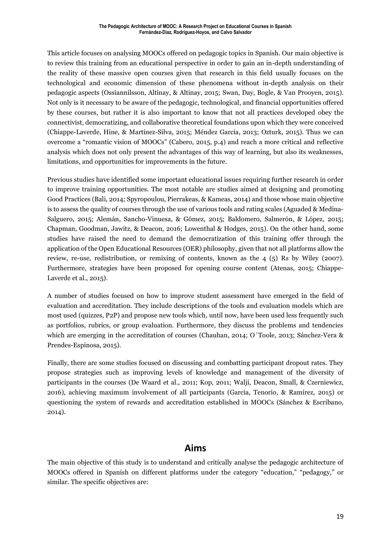This article focuses on analysing MOOCs offered on pedagogic topics in Spanish. Our main objective is to review this training from an educational perspective in order to gain an in-depth understanding of the reality of these massive open courses given that research in this field usually focuses on the technological and economic dimension of these phenomena without in-depth analysis on their pedagogic aspects (Ossiannilsson, Altinay, & Altinay, 2015; Swan, Day, Bogle, & Van Prooyen, 2015). Not only is it necessary to be aware of the pedagogic, technological, and financial opportunities offered by these courses, but rather it is also important to know that not all practices developed obey the connectivist, democratizing, and collaborative theoretical foundations upon which they were conceived (Chiappe-Laverde, Hine, & Martínez-Silva, 2015; Méndez García, 2013; Ozturk, 2015). Thus we can overcome a "romantic vision of MOOCs" (Cabero, 2015, p.4) and reach a more critical and reflective analysis which does not only present the advantages of this way of learning, but also its weaknesses, limitations, and opportunities for improvements in the future.

Previous studies have identified some important educational issues requiring further research in order to improve training opportunities. The most notable are studies aimed at designing and promoting Good Practices (Bali, 2014; Spyropoulou, Pierrakeas, & Kameas, 2014) and those whose main objective is to assess the quality of courses through the use of various tools and rating scales (Aguaded & Medina-Salguero, 2015; Alemán, Sancho-Vinuesa, & Gómez, 2015; Baldomero, Salmerón, & López, 2015; Chapman, Goodman, Jawitz, & Deacon, 2016; Lowenthal & Hodges, 2015). On the other hand, some studies have raised the need to demand the democratization of this training offer through the application of the Open Educational Resources (OER) philosophy, given that not all platforms allow the review, re-use, redistribution, or remixing of contents, known as the 4 (5) Rs by Wiley (2007). Furthermore, strategies have been proposed for opening course content (Atenas, 2015; Chiappe-Laverde et al., 2015).

A number of studies focused on how to improve student assessment have emerged in the field of evaluation and accreditation. They include descriptions of the tools and evaluation models which are most used (quizzes, P2P) and propose new tools which, until now, have been used less frequently such as portfolios, rubrics, or group evaluation. Furthermore, they discuss the problems and tendencies which are emerging in the accreditation of courses (Chauhan, 2014; O´Toole, 2013; Sánchez-Vera & Prendes-Espinosa, 2015).

Finally, there are some studies focused on discussing and combatting participant dropout rates. They propose strategies such as improving levels of knowledge and management of the diversity of participants in the courses (De Waard et al., 2011; Kop, 2011; Walji, Deacon, Small, & Czerniewicz, 2016), achieving maximum involvement of all participants (García, Tenorio, & Ramírez, 2015) or questioning the system of rewards and accreditation established in MOOCs (Sánchez & Escribano, 2014).

### **Aims**

The main objective of this study is to understand and critically analyse the pedagogic architecture of MOOCs offered in Spanish on different platforms under the category "education," "pedagogy," or similar. The specific objectives are: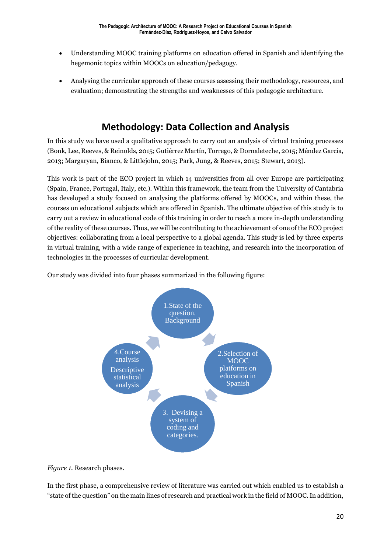- Understanding MOOC training platforms on education offered in Spanish and identifying the hegemonic topics within MOOCs on education/pedagogy.
- Analysing the curricular approach of these courses assessing their methodology, resources, and evaluation; demonstrating the strengths and weaknesses of this pedagogic architecture.

# **Methodology: Data Collection and Analysis**

In this study we have used a qualitative approach to carry out an analysis of virtual training processes (Bonk, Lee, Reeves, & Reinolds, 2015; Gutiérrez Martín, Torrego, & Dornaleteche, 2015; Méndez García, 2013; Margaryan, Bianco, & Littlejohn, 2015; Park, Jung, & Reeves, 2015; Stewart, 2013).

This work is part of the ECO project in which 14 universities from all over Europe are participating (Spain, France, Portugal, Italy, etc.). Within this framework, the team from the University of Cantabria has developed a study focused on analysing the platforms offered by MOOCs, and within these, the courses on educational subjects which are offered in Spanish. The ultimate objective of this study is to carry out a review in educational code of this training in order to reach a more in-depth understanding of the reality of these courses. Thus, we will be contributing to the achievement of one of the ECO project objectives: collaborating from a local perspective to a global agenda. This study is led by three experts in virtual training, with a wide range of experience in teaching, and research into the incorporation of technologies in the processes of curricular development.

Our study was divided into four phases summarized in the following figure:



*Figure 1.* Research phases.

In the first phase, a comprehensive review of literature was carried out which enabled us to establish a "state of the question" on the main lines of research and practical work in the field of MOOC. In addition,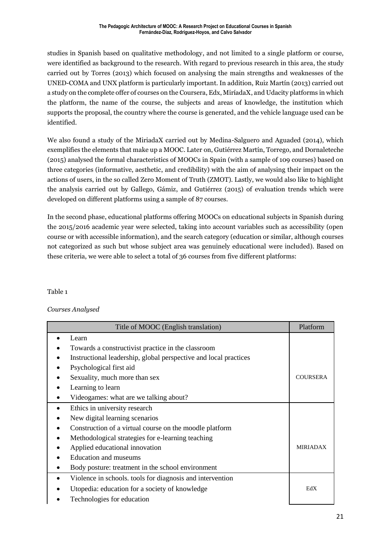studies in Spanish based on qualitative methodology, and not limited to a single platform or course, were identified as background to the research. With regard to previous research in this area, the study carried out by Torres (2013) which focused on analysing the main strengths and weaknesses of the UNED-COMA and UNX platform is particularly important. In addition, Ruiz Martín (2013) carried out a study on the complete offer of courses on the Coursera, Edx, MiríadaX, and Udacity platforms in which the platform, the name of the course, the subjects and areas of knowledge, the institution which supports the proposal, the country where the course is generated, and the vehicle language used can be identified.

We also found a study of the MiriadaX carried out by Medina-Salguero and Aguaded (2014), which exemplifies the elements that make up a MOOC. Later on, Gutiérrez Martín, Torrego, and Dornaleteche (2015) analysed the formal characteristics of MOOCs in Spain (with a sample of 109 courses) based on three categories (informative, aesthetic, and credibility) with the aim of analysing their impact on the actions of users, in the so called Zero Moment of Truth (ZMOT). Lastly, we would also like to highlight the analysis carried out by Gallego, Gámiz, and Gutiérrez (2015) of evaluation trends which were developed on different platforms using a sample of 87 courses.

In the second phase, educational platforms offering MOOCs on educational subjects in Spanish during the 2015/2016 academic year were selected, taking into account variables such as accessibility (open course or with accessible information), and the search category (education or similar, although courses not categorized as such but whose subject area was genuinely educational were included). Based on these criteria, we were able to select a total of 36 courses from five different platforms:

#### Table 1

#### *Courses Analysed*

| Title of MOOC (English translation)                              | Platform        |
|------------------------------------------------------------------|-----------------|
| Learn                                                            |                 |
| Towards a constructivist practice in the classroom               |                 |
| Instructional leadership, global perspective and local practices |                 |
| Psychological first aid                                          |                 |
| Sexuality, much more than sex                                    | <b>COURSERA</b> |
| Learning to learn                                                |                 |
| Videogames: what are we talking about?                           |                 |
| Ethics in university research                                    |                 |
| New digital learning scenarios                                   |                 |
| Construction of a virtual course on the moodle platform          |                 |
| Methodological strategies for e-learning teaching                |                 |
| Applied educational innovation                                   | <b>MIRIADAX</b> |
| <b>Education and museums</b>                                     |                 |
| Body posture: treatment in the school environment                |                 |
| Violence in schools, tools for diagnosis and intervention        |                 |
| Utopedia: education for a society of knowledge                   | EdX             |
| Technologies for education                                       |                 |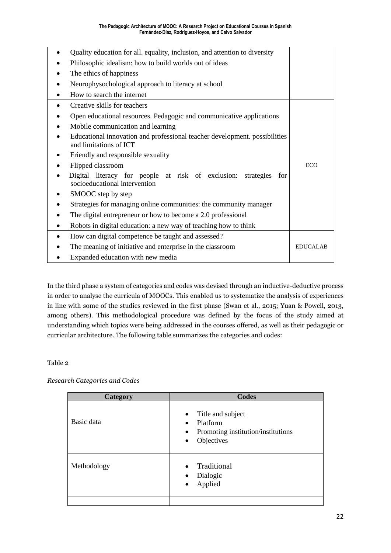| Quality education for all. equality, inclusion, and attention to diversity                           |                 |
|------------------------------------------------------------------------------------------------------|-----------------|
| Philosophic idealism: how to build worlds out of ideas                                               |                 |
| The ethics of happiness                                                                              |                 |
| Neurophysochological approach to literacy at school                                                  |                 |
| How to search the internet<br>٠                                                                      |                 |
| Creative skills for teachers<br>٠                                                                    |                 |
| Open educational resources. Pedagogic and communicative applications                                 |                 |
| Mobile communication and learning                                                                    |                 |
| Educational innovation and professional teacher development. possibilities<br>and limitations of ICT |                 |
| Friendly and responsible sexuality                                                                   |                 |
| Flipped classroom                                                                                    | ECO             |
| Digital literacy for people at risk of exclusion: strategies<br>socioeducational intervention        | for             |
| SMOOC step by step                                                                                   |                 |
| Strategies for managing online communities: the community manager                                    |                 |
| The digital entrepreneur or how to become a 2.0 professional                                         |                 |
| Robots in digital education: a new way of teaching how to think<br>$\bullet$                         |                 |
| How can digital competence be taught and assessed?<br>$\bullet$                                      |                 |
| The meaning of initiative and enterprise in the classroom                                            | <b>EDUCALAB</b> |
| Expanded education with new media                                                                    |                 |

In the third phase a system of categories and codes was devised through an inductive-deductive process in order to analyse the curricula of MOOCs. This enabled us to systematize the analysis of experiences in line with some of the studies reviewed in the first phase (Swan et al., 2015; Yuan & Powell, 2013, among others). This methodological procedure was defined by the focus of the study aimed at understanding which topics were being addressed in the courses offered, as well as their pedagogic or curricular architecture. The following table summarizes the categories and codes:

#### Table 2

*Research Categories and Codes*

| Category    | <b>Codes</b>                                                                                                                          |
|-------------|---------------------------------------------------------------------------------------------------------------------------------------|
| Basic data  | Title and subject<br>$\bullet$<br>Platform<br>$\bullet$<br>Promoting institution/institutions<br>$\bullet$<br>Objectives<br>$\bullet$ |
| Methodology | Traditional<br>$\bullet$<br>Dialogic<br>$\bullet$<br>Applied<br>$\bullet$                                                             |
|             |                                                                                                                                       |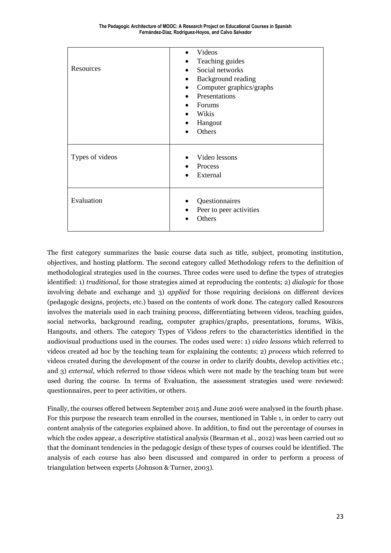|                 | Videos                       |
|-----------------|------------------------------|
|                 | Teaching guides              |
| Resources       | Social networks<br>$\bullet$ |
|                 | Background reading           |
|                 | Computer graphics/graphs     |
|                 | Presentations<br>$\bullet$   |
|                 | <b>Forums</b>                |
|                 | Wikis                        |
|                 | Hangout                      |
|                 | Others                       |
|                 |                              |
|                 |                              |
| Types of videos | Video lessons                |
|                 | Process                      |
|                 | External                     |
|                 |                              |
|                 |                              |
| Evaluation      | Questionnaires               |
|                 | Peer to peer activities      |
|                 | Others                       |
|                 |                              |

The first category summarizes the basic course data such as title, subject, promoting institution, objectives, and hosting platform. The second category called Methodology refers to the definition of methodological strategies used in the courses. Three codes were used to define the types of strategies identified: 1) *traditional*, for those strategies aimed at reproducing the contents; 2) *dialogic* for those involving debate and exchange and 3) *applied* for those requiring decisions on different devices (pedagogic designs, projects, etc.) based on the contents of work done. The category called Resources involves the materials used in each training process, differentiating between videos, teaching guides, social networks, background reading, computer graphics/graphs, presentations, forums, Wikis, Hangouts, and others. The category Types of Videos refers to the characteristics identified in the audiovisual productions used in the courses. The codes used were: 1) *video lessons* which referred to videos created ad hoc by the teaching team for explaining the contents; 2) *process* which referred to videos created during the development of the course in order to clarify doubts, develop activities etc.; and 3) *external*, which referred to those videos which were not made by the teaching team but were used during the course. In terms of Evaluation, the assessment strategies used were reviewed: questionnaires, peer to peer activities, or others.

Finally, the courses offered between September 2015 and June 2016 were analysed in the fourth phase. For this purpose the research team enrolled in the courses, mentioned in Table 1, in order to carry out content analysis of the categories explained above. In addition, to find out the percentage of courses in which the codes appear, a descriptive statistical analysis (Bearman et al., 2012) was been carried out so that the dominant tendencies in the pedagogic design of these types of courses could be identified. The analysis of each course has also been discussed and compared in order to perform a process of triangulation between experts (Johnson & Turner, 2003).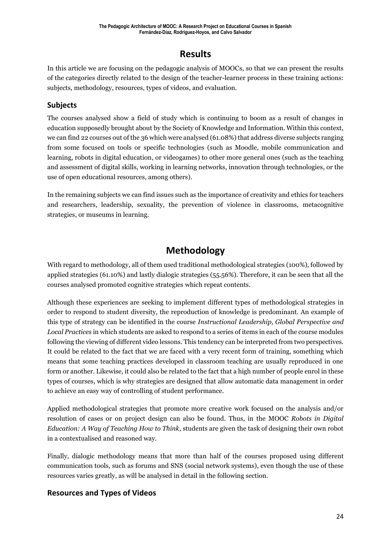## **Results**

In this article we are focusing on the pedagogic analysis of MOOCs, so that we can present the results of the categories directly related to the design of the teacher-learner process in these training actions: subjects, methodology, resources, types of videos, and evaluation.

### **Subjects**

The courses analysed show a field of study which is continuing to boom as a result of changes in education supposedly brought about by the Society of Knowledge and Information. Within this context, we can find 22 courses out of the 36 which were analysed (61.08%) that address diverse subjects ranging from some focused on tools or specific technologies (such as Moodle, mobile communication and learning, robots in digital education, or videogames) to other more general ones (such as the teaching and assessment of digital skills, working in learning networks, innovation through technologies, or the use of open educational resources, among others).

In the remaining subjects we can find issues such as the importance of creativity and ethics for teachers and researchers, leadership, sexuality, the prevention of violence in classrooms, metacognitive strategies, or museums in learning.

# **Methodology**

With regard to methodology, all of them used traditional methodological strategies (100%), followed by applied strategies (61.10%) and lastly dialogic strategies (55.56%). Therefore, it can be seen that all the courses analysed promoted cognitive strategies which repeat contents.

Although these experiences are seeking to implement different types of methodological strategies in order to respond to student diversity, the reproduction of knowledge is predominant. An example of this type of strategy can be identified in the course *Instructional Leadership, Global Perspective and Local Practices* in which students are asked to respond to a series of items in each of the course modules following the viewing of different video lessons. This tendency can be interpreted from two perspectives. It could be related to the fact that we are faced with a very recent form of training, something which means that some teaching practices developed in classroom teaching are usually reproduced in one form or another. Likewise, it could also be related to the fact that a high number of people enrol in these types of courses, which is why strategies are designed that allow automatic data management in order to achieve an easy way of controlling of student performance.

Applied methodological strategies that promote more creative work focused on the analysis and/or resolution of cases or on project design can also be found. Thus, in the MOOC *Robots in Digital Education: A Way of Teaching How to Think*, students are given the task of designing their own robot in a contextualised and reasoned way.

Finally, dialogic methodology means that more than half of the courses proposed using different communication tools, such as forums and SNS (social network systems), even though the use of these resources varies greatly, as will be analysed in detail in the following section.

### **Resources and Types of Videos**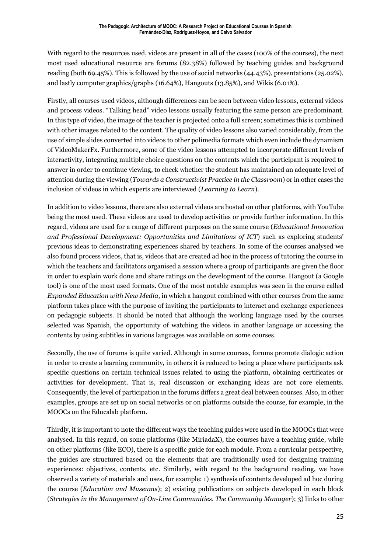With regard to the resources used, videos are present in all of the cases (100% of the courses), the next most used educational resource are forums (82.38%) followed by teaching guides and background reading (both 69.45%). This is followed by the use of social networks (44.43%), presentations (25.02%), and lastly computer graphics/graphs (16.64%), Hangouts (13.85%), and Wikis (6.01%).

Firstly, all courses used videos, although differences can be seen between video lessons, external videos and process videos. "Talking head" video lessons usually featuring the same person are predominant. In this type of video, the image of the teacher is projected onto a full screen; sometimes this is combined with other images related to the content. The quality of video lessons also varied considerably, from the use of simple slides converted into videos to other polimedia formats which even include the dynamism of VideoMakerFx. Furthermore, some of the video lessons attempted to incorporate different levels of interactivity, integrating multiple choice questions on the contents which the participant is required to answer in order to continue viewing, to check whether the student has maintained an adequate level of attention during the viewing (*Towards a Constructivist Practice in the Classroom*) or in other cases the inclusion of videos in which experts are interviewed (*Learning to Learn*).

In addition to video lessons, there are also external videos are hosted on other platforms, with YouTube being the most used. These videos are used to develop activities or provide further information. In this regard, videos are used for a range of different purposes on the same course (*Educational Innovation and Professional Development: Opportunities and Limitations of ICT*) such as exploring students' previous ideas to demonstrating experiences shared by teachers. In some of the courses analysed we also found process videos, that is, videos that are created ad hoc in the process of tutoring the course in which the teachers and facilitators organised a session where a group of participants are given the floor in order to explain work done and share ratings on the development of the course. Hangout (a Google tool) is one of the most used formats. One of the most notable examples was seen in the course called *Expanded Education with New Media*, in which a hangout combined with other courses from the same platform takes place with the purpose of inviting the participants to interact and exchange experiences on pedagogic subjects. It should be noted that although the working language used by the courses selected was Spanish, the opportunity of watching the videos in another language or accessing the contents by using subtitles in various languages was available on some courses.

Secondly, the use of forums is quite varied. Although in some courses, forums promote dialogic action in order to create a learning community, in others it is reduced to being a place where participants ask specific questions on certain technical issues related to using the platform, obtaining certificates or activities for development. That is, real discussion or exchanging ideas are not core elements. Consequently, the level of participation in the forums differs a great deal between courses. Also, in other examples, groups are set up on social networks or on platforms outside the course, for example, in the MOOCs on the Educalab platform.

Thirdly, it is important to note the different ways the teaching guides were used in the MOOCs that were analysed. In this regard, on some platforms (like MiríadaX), the courses have a teaching guide, while on other platforms (like ECO), there is a specific guide for each module. From a curricular perspective, the guides are structured based on the elements that are traditionally used for designing training experiences: objectives, contents, etc. Similarly, with regard to the background reading, we have observed a variety of materials and uses, for example: 1) synthesis of contents developed ad hoc during the course (*Education and Museums*); 2) existing publications on subjects developed in each block (*Strategies in the Management of On-Line Communities. The Community Manager*); 3) links to other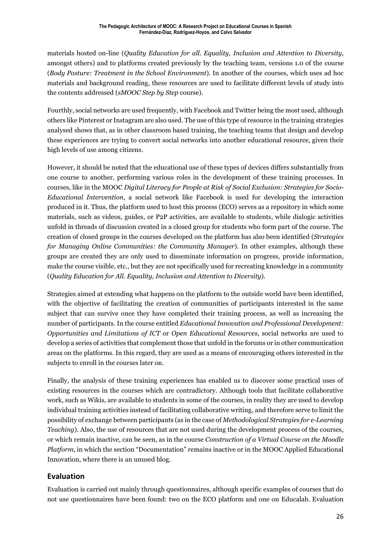materials hosted on-line (*Quality Education for all. Equality, Inclusion and Attention to Diversity*, amongst others) and to platforms created previously by the teaching team, versions 1.0 of the course (*Body Posture: Treatment in the School Environment*). In another of the courses, which uses ad hoc materials and background reading, these resources are used to facilitate different levels of study into the contents addressed (*sMOOC Step by Step* course).

Fourthly, social networks are used frequently, with Facebook and Twitter being the most used, although others like Pinterest or Instagram are also used. The use of this type of resource in the training strategies analysed shows that, as in other classroom based training, the teaching teams that design and develop these experiences are trying to convert social networks into another educational resource, given their high levels of use among citizens.

However, it should be noted that the educational use of these types of devices differs substantially from one course to another, performing various roles in the development of these training processes. In courses, like in the MOOC *Digital Literacy for People at Risk of Social Exclusion: Strategies for Socio-Educational Intervention*, a social network like Facebook is used for developing the interaction produced in it. Thus, the platform used to host this process (ECO) serves as a repository in which some materials, such as videos, guides, or P2P activities, are available to students, while dialogic activities unfold in threads of discussion created in a closed group for students who form part of the course. The creation of closed groups in the courses developed on the platform has also been identified (*Strategies for Managing Online Communities: the Community Manager*). In other examples, although these groups are created they are only used to disseminate information on progress, provide information, make the course visible, etc., but they are not specifically used for recreating knowledge in a community (*Quality Education for All. Equality, Inclusion and Attention to Diversity*).

Strategies aimed at extending what happens on the platform to the outside world have been identified, with the objective of facilitating the creation of communities of participants interested in the same subject that can survive once they have completed their training process, as well as increasing the number of participants. In the course entitled *Educational Innovation and Professional Development: Opportunities and Limitations of ICT* or *Open Educational Resources*, social networks are used to develop a series of activities that complement those that unfold in the forums or in other communication areas on the platforms. In this regard, they are used as a means of encouraging others interested in the subjects to enroll in the courses later on.

Finally, the analysis of these training experiences has enabled us to discover some practical uses of existing resources in the courses which are contradictory. Although tools that facilitate collaborative work, such as Wikis, are available to students in some of the courses, in reality they are used to develop individual training activities instead of facilitating collaborative writing, and therefore serve to limit the possibility of exchange between participants (as in the case of *Methodological Strategies for e-Learning Teaching*). Also, the use of resources that are not used during the development process of the courses, or which remain inactive, can be seen, as in the course *Construction of a Virtual Course on the Moodle Platform*, in which the section "Documentation" remains inactive or in the MOOC Applied Educational Innovation, where there is an unused blog.

### **Evaluation**

Evaluation is carried out mainly through questionnaires, although specific examples of courses that do not use questionnaires have been found: two on the ECO platform and one on Educalab. Evaluation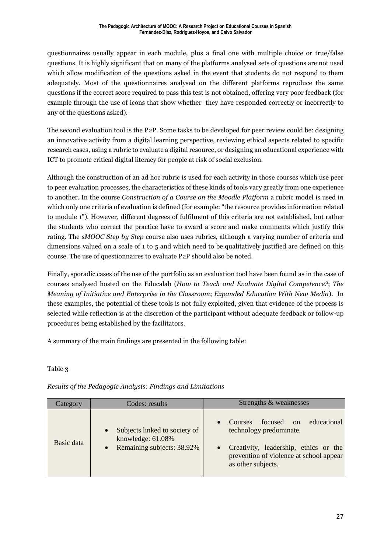questionnaires usually appear in each module, plus a final one with multiple choice or true/false questions. It is highly significant that on many of the platforms analysed sets of questions are not used which allow modification of the questions asked in the event that students do not respond to them adequately. Most of the questionnaires analysed on the different platforms reproduce the same questions if the correct score required to pass this test is not obtained, offering very poor feedback (for example through the use of icons that show whether they have responded correctly or incorrectly to any of the questions asked).

The second evaluation tool is the P2P. Some tasks to be developed for peer review could be: designing an innovative activity from a digital learning perspective, reviewing ethical aspects related to specific research cases, using a rubric to evaluate a digital resource, or designing an educational experience with ICT to promote critical digital literacy for people at risk of social exclusion.

Although the construction of an ad hoc rubric is used for each activity in those courses which use peer to peer evaluation processes, the characteristics of these kinds of tools vary greatly from one experience to another. In the course *Construction of a Course on the Moodle Platform* a rubric model is used in which only one criteria of evaluation is defined (for example: "the resource provides information related to module 1"). However, different degrees of fulfilment of this criteria are not established, but rather the students who correct the practice have to award a score and make comments which justify this rating. The *sMOOC Step by Step* course also uses rubrics, although a varying number of criteria and dimensions valued on a scale of 1 to 5 and which need to be qualitatively justified are defined on this course. The use of questionnaires to evaluate P2P should also be noted.

Finally, sporadic cases of the use of the portfolio as an evaluation tool have been found as in the case of courses analysed hosted on the Educalab (*How to Teach and Evaluate Digital Competence?*; *The Meaning of Initiative and Enterprise in the Classroom*; *Expanded Education With New Media*). In these examples, the potential of these tools is not fully exploited, given that evidence of the process is selected while reflection is at the discretion of the participant without adequate feedback or follow-up procedures being established by the facilitators.

A summary of the main findings are presented in the following table:

#### Table 3

| Category   | Codes: results                                                                   | Strengths & weaknesses                                                                                                                                                    |
|------------|----------------------------------------------------------------------------------|---------------------------------------------------------------------------------------------------------------------------------------------------------------------------|
| Basic data | Subjects linked to society of<br>knowledge: 61.08%<br>Remaining subjects: 38.92% | educational<br>focused on<br>Courses<br>technology predominate.<br>Creativity, leadership, ethics or the<br>prevention of violence at school appear<br>as other subjects. |

*Results of the Pedagogic Analysis: Findings and Limitations*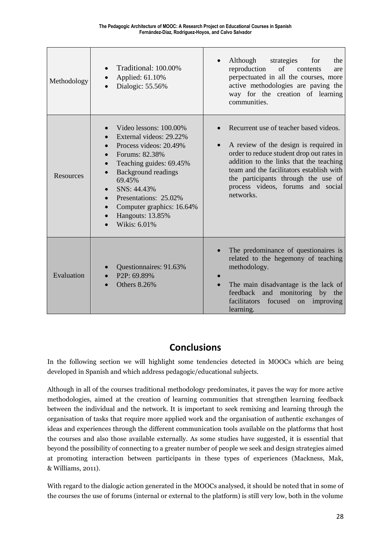| Methodology | Traditional: 100.00%<br>Applied: 61.10%<br>Dialogic: 55.56%                                                                                                                                                                                                               | Although<br>strategies<br>for<br>the<br>reproduction<br>of<br>contents<br>are<br>perpectuated in all the courses, more<br>active methodologies are paving the<br>way for the creation of learning<br>communities.                                                                                                         |
|-------------|---------------------------------------------------------------------------------------------------------------------------------------------------------------------------------------------------------------------------------------------------------------------------|---------------------------------------------------------------------------------------------------------------------------------------------------------------------------------------------------------------------------------------------------------------------------------------------------------------------------|
| Resources   | Video lessons: 100.00%<br>External videos: 29.22%<br>Process videos: 20.49%<br>Forums: 82.38%<br>Teaching guides: 69.45%<br><b>Background readings</b><br>69.45%<br>SNS: 44.43%<br>Presentations: 25.02%<br>Computer graphics: 16.64%<br>Hangouts: 13.85%<br>Wikis: 6.01% | Recurrent use of teacher based videos.<br>A review of the design is required in<br>$\bullet$<br>order to reduce student drop out rates in<br>addition to the links that the teaching<br>team and the facilitators establish with<br>the participants through the use of<br>process videos, forums and social<br>networks. |
| Evaluation  | Questionnaires: 91.63%<br>P <sub>2</sub> P: 69.89%<br>Others 8.26%                                                                                                                                                                                                        | The predominance of questionaires is<br>related to the hegemony of teaching<br>methodology.<br>The main disadvantage is the lack of<br>and monitoring by<br>feedback<br>the<br>facilitators<br>focused<br>improving<br>on<br>learning.                                                                                    |

# **Conclusions**

In the following section we will highlight some tendencies detected in MOOCs which are being developed in Spanish and which address pedagogic/educational subjects.

Although in all of the courses traditional methodology predominates, it paves the way for more active methodologies, aimed at the creation of learning communities that strengthen learning feedback between the individual and the network. It is important to seek remixing and learning through the organisation of tasks that require more applied work and the organisation of authentic exchanges of ideas and experiences through the different communication tools available on the platforms that host the courses and also those available externally. As some studies have suggested, it is essential that beyond the possibility of connecting to a greater number of people we seek and design strategies aimed at promoting interaction between participants in these types of experiences (Mackness, Mak, & Williams, 2011).

With regard to the dialogic action generated in the MOOCs analysed, it should be noted that in some of the courses the use of forums (internal or external to the platform) is still very low, both in the volume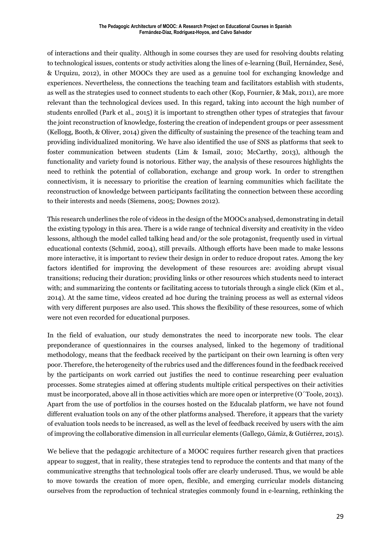of interactions and their quality. Although in some courses they are used for resolving doubts relating to technological issues, contents or study activities along the lines of e-learning (Buil, Hernández, Sesé, & Urquizu, 2012), in other MOOCs they are used as a genuine tool for exchanging knowledge and experiences. Nevertheless, the connections the teaching team and facilitators establish with students, as well as the strategies used to connect students to each other (Kop, Fournier, & Mak, 2011), are more relevant than the technological devices used. In this regard, taking into account the high number of students enrolled (Park et al., 2015) it is important to strengthen other types of strategies that favour the joint reconstruction of knowledge, fostering the creation of independent groups or peer assessment (Kellogg, Booth, & Oliver, 2014) given the difficulty of sustaining the presence of the teaching team and providing individualized monitoring. We have also identified the use of SNS as platforms that seek to foster communication between students (Lim & Ismail, 2010; McCarthy, 2013), although the functionality and variety found is notorious. Either way, the analysis of these resources highlights the need to rethink the potential of collaboration, exchange and group work. In order to strengthen connectivism, it is necessary to prioritise the creation of learning communities which facilitate the reconstruction of knowledge between participants facilitating the connection between these according to their interests and needs (Siemens, 2005; Downes 2012).

This research underlines the role of videos in the design of the MOOCs analysed, demonstrating in detail the existing typology in this area. There is a wide range of technical diversity and creativity in the video lessons, although the model called talking head and/or the sole protagonist, frequently used in virtual educational contexts (Schmid, 2004), still prevails. Although efforts have been made to make lessons more interactive, it is important to review their design in order to reduce dropout rates. Among the key factors identified for improving the development of these resources are: avoiding abrupt visual transitions; reducing their duration; providing links or other resources which students need to interact with; and summarizing the contents or facilitating access to tutorials through a single click (Kim et al., 2014). At the same time, videos created ad hoc during the training process as well as external videos with very different purposes are also used. This shows the flexibility of these resources, some of which were not even recorded for educational purposes.

In the field of evaluation, our study demonstrates the need to incorporate new tools. The clear preponderance of questionnaires in the courses analysed, linked to the hegemony of traditional methodology, means that the feedback received by the participant on their own learning is often very poor. Therefore, the heterogeneity of the rubrics used and the differences found in the feedback received by the participants on work carried out justifies the need to continue researching peer evaluation processes. Some strategies aimed at offering students multiple critical perspectives on their activities must be incorporated, above all in those activities which are more open or interpretive (O´Toole, 2013). Apart from the use of portfolios in the courses hosted on the Educalab platform, we have not found different evaluation tools on any of the other platforms analysed. Therefore, it appears that the variety of evaluation tools needs to be increased, as well as the level of feedback received by users with the aim of improving the collaborative dimension in all curricular elements (Gallego, Gámiz, & Gutiérrez, 2015).

We believe that the pedagogic architecture of a MOOC requires further research given that practices appear to suggest, that in reality, these strategies tend to reproduce the contents and that many of the communicative strengths that technological tools offer are clearly underused. Thus, we would be able to move towards the creation of more open, flexible, and emerging curricular models distancing ourselves from the reproduction of technical strategies commonly found in e-learning, rethinking the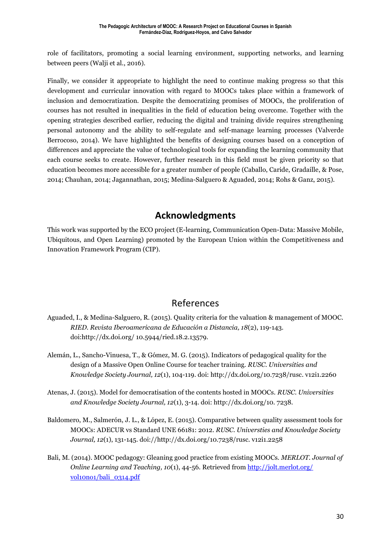role of facilitators, promoting a social learning environment, supporting networks, and learning between peers (Walji et al., 2016).

Finally, we consider it appropriate to highlight the need to continue making progress so that this development and curricular innovation with regard to MOOCs takes place within a framework of inclusion and democratization. Despite the democratizing promises of MOOCs, the proliferation of courses has not resulted in inequalities in the field of education being overcome. Together with the opening strategies described earlier, reducing the digital and training divide requires strengthening personal autonomy and the ability to self-regulate and self-manage learning processes (Valverde Berrocoso, 2014). We have highlighted the benefits of designing courses based on a conception of differences and appreciate the value of technological tools for expanding the learning community that each course seeks to create. However, further research in this field must be given priority so that education becomes more accessible for a greater number of people (Caballo, Caride, Gradaille, & Pose, 2014; Chauhan, 2014; Jagannathan, 2015; Medina-Salguero & Aguaded, 2014; Rohs & Ganz, 2015).

## **Acknowledgments**

This work was supported by the ECO project (E-learning, Communication Open-Data: Massive Mobile, Ubiquitous, and Open Learning) promoted by the European Union within the Competitiveness and Innovation Framework Program (CIP).

### References

- Aguaded, I., & Medina-Salguero, R. (2015). Quality criteria for the valuation & management of MOOC. *RIED. Revista Iberoamericana de Educación a Distancia, 18*(2), 119-143. doi:http://dx.doi.org/ 10.5944/ried.18.2.13579.
- Alemán, L., Sancho-Vinuesa, T., & Gómez, M. G. (2015). Indicators of pedagogical quality for the design of a Massive Open Online Course for teacher training. *RUSC. Universities and Knowledge Society Journal, 12*(1), 104-119. doi: http://dx.doi.org/10.7238/rusc. v12i1.2260
- Atenas, J. (2015). Model for democratisation of the contents hosted in MOOCs. *RUSC. Universities and Knowledge Society Journal, 12*(1), 3-14. doi: http://dx.doi.org/10. 7238.
- Baldomero, M., Salmerón, J. L., & López, E. (2015). Comparative between quality assessment tools for MOOCs: ADECUR vs Standard UNE 66181: 2012. *RUSC. Universties and Knowledge Society Journal, 12*(1), 131-145. doi://http://dx.doi.org/10.7238/rusc. v12i1.2258
- Bali, M. (2014). MOOC pedagogy: Gleaning good practice from existing MOOCs. *MERLOT. Journal of Online Learning and Teaching, 10*(1), 44-56. Retrieved from [http://jolt.merlot.org/](http://jolt.merlot.org/%20vol10no1/bali_0314.pdf)  [vol10no1/bali\\_0314.pdf](http://jolt.merlot.org/%20vol10no1/bali_0314.pdf)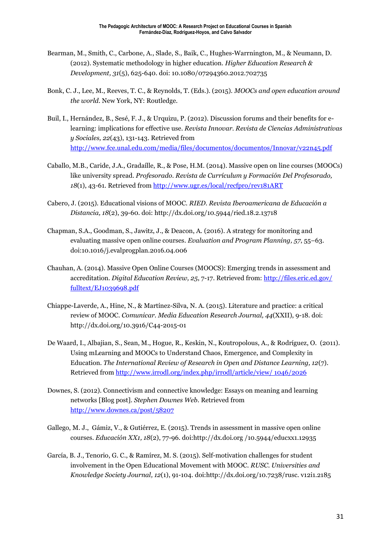- Bearman, M., Smith, C., Carbone, A., Slade, S., Baik, C., Hughes-Warrnington, M., & Neumann, D. (2012). Systematic methodology in higher education. *Higher Education Research & Development, 31*(5), 625-640. doi: 10.1080/07294360.2012.702735
- Bonk, C. J., Lee, M., Reeves, T. C., & Reynolds, T. (Eds.). (2015). *MOOCs and open education around the world*. New York, NY: Routledge.
- Buil, I., Hernández, B., Sesé, F. J., & Urquizu, P. (2012). Discussion forums and their benefits for elearning: implications for effective use. *Revista Innovar. Revista de Ciencias Administrativas y Sociales, 22*(43), 131-143. Retrieved from <http://www.fce.unal.edu.com/media/files/documentos/documentos/Innovar/v22n45.pdf>
- Caballo, M.B., Caride, J.A., Gradaílle, R., & Pose, H.M. (2014). Massive open on line courses (MOOCs) like university spread. *Profesorado. Revista de Currículum y Formación Del Profesorado, 18*(1), 43-61. Retrieved from <http://www.ugr.es/local/recfpro/rev181ART>
- Cabero, J. (2015). Educational visions of MOOC. *RIED. Revista Iberoamericana de Educación a Distancia, 18*(2), 39-60. doi: http://dx.doi.org/10.5944/ried.18.2.13718
- Chapman, S.A., Goodman, S., Jawitz, J., & Deacon, A. (2016). A strategy for monitoring and evaluating massive open online courses. *Evaluation and Program Planning, 57*, 55–63. doi:10.1016/j.evalprogplan.2016.04.006
- Chauhan, A. (2014). Massive Open Online Courses (MOOCS): Emerging trends in assessment and accreditation. *Digital Education Review, 25*, 7-17. Retrieved from: [http://files.eric.ed.gov/](http://files.eric.ed.gov/%20fulltext/EJ1039698.pdf)  [fulltext/EJ1039698.pdf](http://files.eric.ed.gov/%20fulltext/EJ1039698.pdf)
- Chiappe-Laverde, A., Hine, N., & Martínez-Silva, N. A. (2015). Literature and practice: a critical review of MOOC. *Comunicar. Media Education Research Journal, 44*(XXII), 9-18. doi: http://dx.doi.org/10.3916/C44-2015-01
- De Waard, I., Albajian, S., Sean, M., Hogue, R., Keskin, N., Koutropolous, A., & Rodríguez, O. (2011). Using mLearning and MOOCs to Understand Chaos, Emergence, and Complexity in Education. *The International Review of Research in Open and Distance Learning, 12*(7). Retrieved from [http://www.irrodl.org/index.php/irrodl/article/view/](http://www.irrodl.org/index.php/irrodl/article/view/%201046/2026) 1046/2026
- Downes, S. (2012). Connectivism and connective knowledge: Essays on meaning and learning networks [Blog post]. *Stephen Downes Web*. Retrieved from <http://www.downes.ca/post/58207>
- Gallego, M. J., Gámiz, V., & Gutiérrez, E. (2015). Trends in assessment in massive open online courses. *Educación XX1, 18*(2), 77-96. doi:http://dx.doi.org /10.5944/educxx1.12935
- García, B. J., Tenorio, G. C., & Ramírez, M. S. (2015). Self-motivation challenges for student involvement in the Open Educational Movement with MOOC. *RUSC. Universities and Knowledge Society Journal, 12*(1), 91-104. doi:http://dx.doi.org/10.7238/rusc. v12i1.2185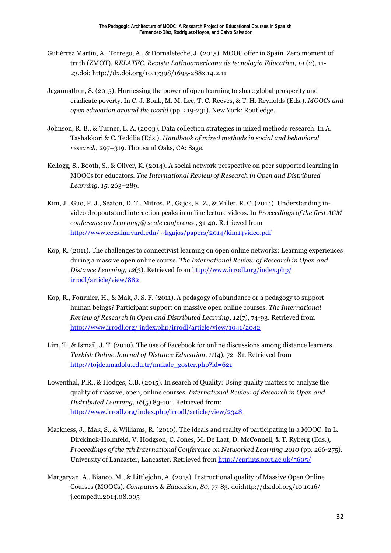- Gutiérrez Martín, A., Torrego, A., & Dornaleteche, J. (2015). MOOC offer in Spain. Zero moment of truth (ZMOT). *RELATEC. Revista Latinoamericana de tecnología Educativa, 14* (2), 11- 23.doi: http://dx.doi.org/10.17398/1695-288x.14.2.11
- Jagannathan, S. (2015). Harnessing the power of open learning to share global prosperity and eradicate poverty. In C. J. Bonk, M. M. Lee, T. C. Reeves, & T. H. Reynolds (Eds.). *MOOCs and open education around the world* (pp. 219-231). New York: Routledge.
- Johnson, R. B., & Turner, L. A. (2003). Data collection strategies in mixed methods research. In A. Tashakkori & C. Teddlie (Eds.). *Handbook of mixed methods in social and behavioral research*, 297–319. Thousand Oaks, CA: Sage.
- Kellogg, S., Booth, S., & Oliver, K. (2014). A social network perspective on peer supported learning in MOOCs for educators. *The International Review of Research in Open and Distributed Learning, 15*, 263–289.
- Kim, J., Guo, P. J., Seaton, D. T., Mitros, P., Gajos, K. Z., & Miller, R. C. (2014). Understanding invideo dropouts and interaction peaks in online lecture videos. In *Proceedings of the first ACM conference on Learning@ scale conference*, 31-40. Retrieved from [http://www.eecs.harvard.edu/ ~kgajos/papers/2014/kim14video.pdf](http://www.eecs.harvard.edu/%20~kgajos/papers/2014/kim14video.pdf)
- Kop, R. (2011). The challenges to connectivist learning on open online networks: Learning experiences during a massive open online course. *The International Review of Research in Open and Distance Learning, 12*(3). Retrieved from [http://www.irrodl.org/index.php/](http://www.irrodl.org/index.php/%20irrodl/article/view/882) [irrodl/article/view/882](http://www.irrodl.org/index.php/%20irrodl/article/view/882)
- Kop, R., Fournier, H., & Mak, J. S. F. (2011). A pedagogy of abundance or a pedagogy to support human beings? Participant support on massive open online courses. *The International Review of Research in Open and Distributed Learning, 12*(7), 74-93. Retrieved from [http://www.irrodl.org/ index.php/irrodl/article/view/1041/2042](http://www.irrodl.org/%20index.php/irrodl/article/view/1041/2042)
- Lim, T., & Ismail, J. T. (2010). The use of Facebook for online discussions among distance learners. *Turkish Online Journal of Distance Education, 11*(4), 72–81. Retrieved from [http://tojde.anadolu.edu.tr/makale\\_goster.php?id=621](http://tojde.anadolu.edu.tr/makale_goster.php?id=621)
- Lowenthal, P.R., & Hodges, C.B. (2015). In search of Quality: Using quality matters to analyze the quality of massive, open, online courses. *International Review of Research in Open and Distributed Learning, 16*(5) 83-101. Retrieved from: <http://www.irrodl.org/index.php/irrodl/article/view/2348>
- Mackness, J., Mak, S., & Williams, R. (2010). The ideals and reality of participating in a MOOC. In L. Dirckinck-Holmfeld, V. Hodgson, C. Jones, M. De Laat, D. McConnell, & T. Ryberg (Eds.), *Proceedings of the 7th International Conference on Networked Learning 2010* (pp. 266-275). University of Lancaster, Lancaster. Retrieved from<http://eprints.port.ac.uk/5605/>
- Margaryan, A., Bianco, M., & Littlejohn, A. (2015). Instructional quality of Massive Open Online Courses (MOOCs). *Computers & Education*, *80*, 77-83. doi:http://dx.doi.org/10.1016/ j.compedu.2014.08.005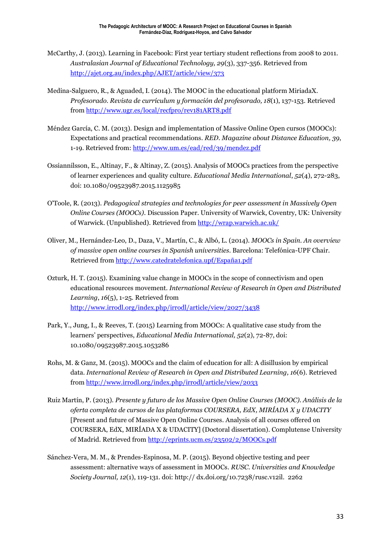- McCarthy, J. (2013). Learning in Facebook: First year tertiary student reflections from 2008 to 2011. *Australasian Journal of Educational Technology, 29*(3), 337-356. Retrieved from <http://ajet.org.au/index.php/AJET/article/view/373>
- Medina-Salguero, R., & Aguaded, I. (2014). The MOOC in the educational platform MiriadaX. *Profesorado. Revista de currículum y formación del profesorado, 18*(1), 137-153. Retrieved from<http://www.ugr.es/local/recfpro/rev181ART8.pdf>
- Méndez García, C. M. (2013). Design and implementation of Massive Online Open cursos (MOOCs): Expectations and practical recommendations. *RED. Magazine about Distance Education, 39*, 1-19. Retrieved from: <http://www.um.es/ead/red/39/mendez.pdf>
- Ossiannilsson, E., Altinay, F., & Altinay, Z. (2015). Analysis of MOOCs practices from the perspective of learner experiences and quality culture. *Educational Media International*, *52*(4), 272-283, doi: 10.1080/09523987.2015.1125985
- O'Toole, R. (2013). *Pedagogical strategies and technologies for peer assessment in Massively Open Online Courses (MOOCs)*. Discussion Paper. University of Warwick, Coventry, UK: University of Warwick. (Unpublished). Retrieved from <http://wrap.warwich.ac.uk/>
- Oliver, M., Hernández-Leo, D., Daza, V., Martín, C., & Albó, L. (2014). *MOOCs in Spain. An overview of massive open online courses in Spanish universities*. Barcelona: Telefónica-UPF Chair. Retrieved from <http://www.catedratelefonica.upf/España1.pdf>
- Ozturk, H. T. (2015). Examining value change in MOOCs in the scope of connectivism and open educational resources movement. *International Review of Research in Open and Distributed Learning*, *16*(5), 1-25. Retrieved from <http://www.irrodl.org/index.php/irrodl/article/view/2027/3438>
- Park, Y., Jung, I., & Reeves, T. (2015) Learning from MOOCs: A qualitative case study from the learners' perspectives, *Educational Media International, 52*(2), 72-87, doi: 10.1080/09523987.2015.1053286
- Rohs, M. & Ganz, M. (2015). MOOCs and the claim of education for all: A disillusion by empirical data. *International Review of Research in Open and Distributed Learning, 16*(6). Retrieved from<http://www.irrodl.org/index.php/irrodl/article/view/2033>
- Ruiz Martín, P. (2013). *Presente y futuro de los Massive Open Online Courses (MOOC). Análisis de la oferta completa de cursos de las plataformas COURSERA, EdX, MIRÍADA X y UDACITY* [Present and future of Massive Open Online Courses. Analysis of all courses offered on COURSERA, EdX, MIRÍADA X & UDACITY] (Doctoral dissertation). Complutense University of Madrid. Retrieved from <http://eprints.ucm.es/23502/2/MOOCs.pdf>
- Sánchez-Vera, M. M., & Prendes-Espinosa, M. P. (2015). Beyond objective testing and peer assessment: alternative ways of assessment in MOOCs. *RUSC. Universities and Knowledge Society Journal, 12*(1), 119-131. doi: http:// dx.doi.org/10.7238/rusc.v12il. 2262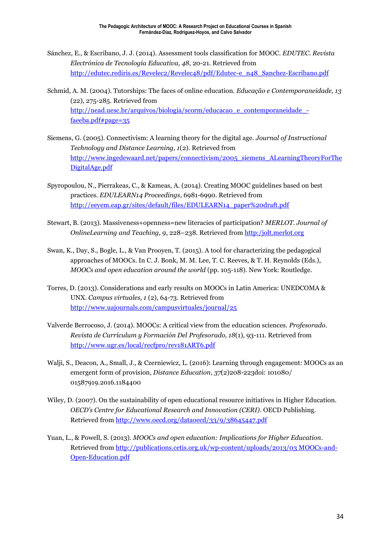- Sánchez, E., & Escribano, J. J. (2014). Assessment tools classification for MOOC. *EDUTEC. Revista Electrónica de Tecnología Educativa, 48*, 20-21. Retrieved from [http://edutec.rediris.es/Revelec2/Revelec48/pdf/Edutec-e\\_n48\\_Sanchez-Escribano.pdf](http://edutec.rediris.es/Revelec2/Revelec48/pdf/Edutec-e_n48_Sanchez-Escribano.pdf)
- Schmid, A. M. (2004). Tutorships: The faces of online education. *Educação e Contemporaneidade, 13* (22), 275-285. Retrieved from [http://nead.uesc.br/arquivos/biologia/scorm/educacao\\_e\\_contemporaneidade\\_](http://nead.uesc.br/arquivos/biologia/scorm/educacao_e_contemporaneidade_-faeeba.pdf#page=35) [faeeba.pdf#page=35](http://nead.uesc.br/arquivos/biologia/scorm/educacao_e_contemporaneidade_-faeeba.pdf#page=35)
- Siemens, G. (2005). Connectivism: A learning theory for the digital age. *Journal of Instructional Technology and Distance Learning, 1*(2). Retrieved from [http://www.ingedewaard.net/papers/connectivism/2005\\_siemens\\_ALearningTheoryForThe](http://www.ingedewaard.net/papers/connectivism/2005_siemens_ALearningTheoryForTheDigitalAge.pdf) [DigitalAge.pdf](http://www.ingedewaard.net/papers/connectivism/2005_siemens_ALearningTheoryForTheDigitalAge.pdf)
- Spyropoulou, N., Pierrakeas, C., & Kameas, A. (2014). Creating MOOC guidelines based on best practices. *EDULEARN14 Proceedings,* 6981-6990. Retrieved from [http://eeyem.eap.gr/sites/default/files/EDULEARN14\\_paper%20draft.pdf](http://eeyem.eap.gr/sites/default/files/EDULEARN14_paper%20draft.pdf)
- Stewart, B. (2013). Massiveness+openness=new literacies of participation? *MERLOT. Journal of OnlineLearning and Teaching, 9*, 228–238. Retrieved from [http:/jolt.merlot.org](http://jolt.merlot.org/)
- Swan, K., Day, S., Bogle, L., & Van Prooyen, T. (2015). A tool for characterizing the pedagogical approaches of MOOCs. In C. J. Bonk, M. M. Lee, T. C. Reeves, & T. H. Reynolds (Eds.), *MOOCs and open education around the world* (pp. 105-118). New York: Routledge.
- Torres, D. (2013). Considerations and early results on MOOCs in Latin America: UNEDCOMA & UNX. *Campus virtuales, 1* (2), 64-73. Retrieved from <http://www.uajournals.com/campusvirtuales/journal/25>
- Valverde Berrocoso, J. (2014). MOOCs: A critical view from the education sciences. *Profesorado. Revista de Currículum y Formación Del Profesorado, 18*(1), 93-111. Retrieved from <http://www.ugr.es/local/recfpro/rev181ART6.pdf>
- Walji, S., Deacon, A., Small, J., & Czerniewicz, L. (2016): Learning through engagement: MOOCs as an emergent form of provision, *Distance Education*, *37*(2)208-223doi: 101080/ 01587919.2016.1184400
- Wiley, D. (2007). On the sustainability of open educational resource initiatives in Higher Education. *OECD's Centre for Educational Research and Innovation (CERI)*. OECD Publishing. Retrieved from <http://www.oecd.org/dataoecd/33/9/38645447.pdf>
- Yuan, L., & Powell, S. (2013). *MOOCs and open education: Implications for Higher Education*. Retrieved from [http://publications.cetis.org.uk/wp-content/uploads/2013/03 MOOCs-and-](http://publications.cetis.org.uk/wp-content/uploads/2013/03%20MOOCs-and-Open-Education.pdf)[Open-Education.pdf](http://publications.cetis.org.uk/wp-content/uploads/2013/03%20MOOCs-and-Open-Education.pdf)